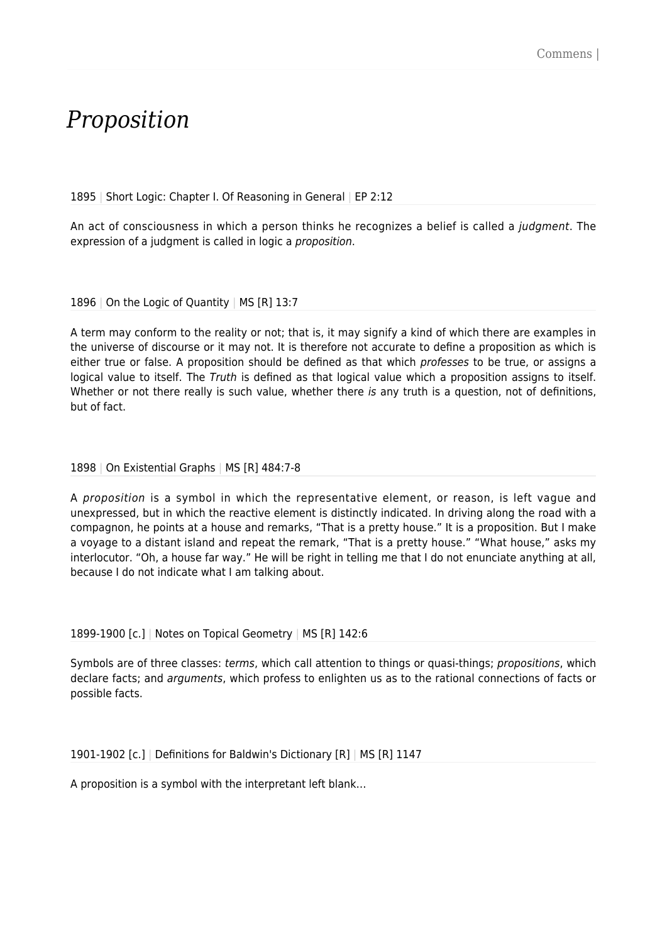# *Proposition*

1895 | Short Logic: Chapter I. Of Reasoning in General | EP 2:12

An act of consciousness in which a person thinks he recognizes a belief is called a judgment. The expression of a judgment is called in logic a *proposition*.

1896 | On the Logic of Quantity | MS [R] 13:7

A term may conform to the reality or not; that is, it may signify a kind of which there are examples in the universe of discourse or it may not. It is therefore not accurate to define a proposition as which is either true or false. A proposition should be defined as that which professes to be true, or assigns a logical value to itself. The Truth is defined as that logical value which a proposition assigns to itself. Whether or not there really is such value, whether there is any truth is a question, not of definitions, but of fact.

#### 1898 | On Existential Graphs | MS [R] 484:7-8

A proposition is a symbol in which the representative element, or reason, is left vague and unexpressed, but in which the reactive element is distinctly indicated. In driving along the road with a compagnon, he points at a house and remarks, "That is a pretty house." It is a proposition. But I make a voyage to a distant island and repeat the remark, "That is a pretty house." "What house," asks my interlocutor. "Oh, a house far way." He will be right in telling me that I do not enunciate anything at all, because I do not indicate what I am talking about.

#### 1899-1900 [c.] | Notes on Topical Geometry | MS [R] 142:6

Symbols are of three classes: terms, which call attention to things or quasi-things; propositions, which declare facts; and arguments, which profess to enlighten us as to the rational connections of facts or possible facts.

1901-1902 [c.] | Definitions for Baldwin's Dictionary [R] | MS [R] 1147

A proposition is a symbol with the interpretant left blank…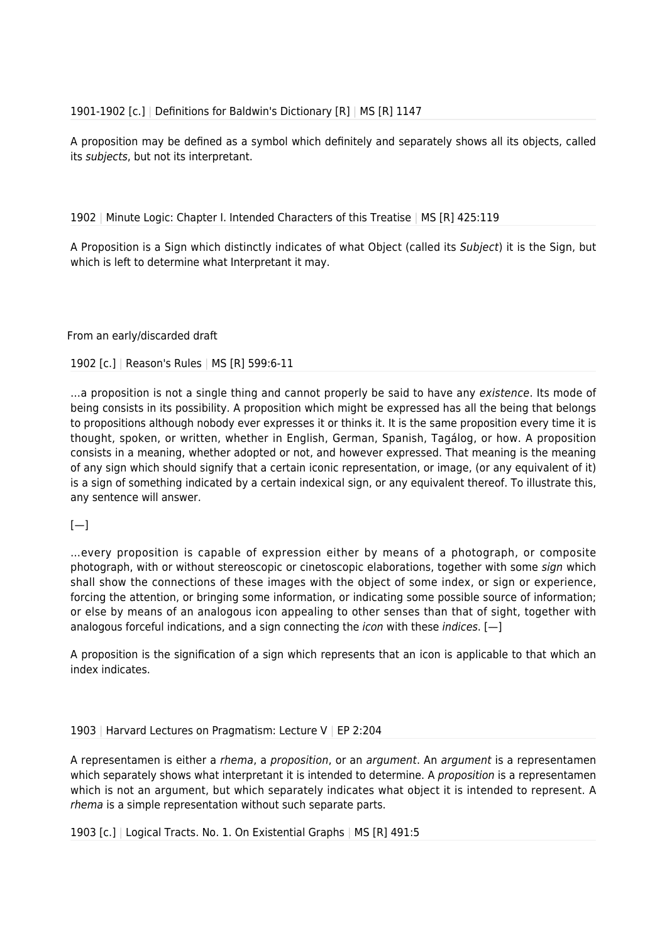A proposition may be defined as a symbol which definitely and separately shows all its objects, called its subjects, but not its interpretant.

1902 | Minute Logic: Chapter I. Intended Characters of this Treatise | MS [R] 425:119

A Proposition is a Sign which distinctly indicates of what Object (called its Subject) it is the Sign, but which is left to determine what Interpretant it may.

From an early/discarded draft

1902 [c.] | Reason's Rules | MS [R] 599:6-11

...a proposition is not a single thing and cannot properly be said to have any existence. Its mode of being consists in its possibility. A proposition which might be expressed has all the being that belongs to propositions although nobody ever expresses it or thinks it. It is the same proposition every time it is thought, spoken, or written, whether in English, German, Spanish, Tagálog, or how. A proposition consists in a meaning, whether adopted or not, and however expressed. That meaning is the meaning of any sign which should signify that a certain iconic representation, or image, (or any equivalent of it) is a sign of something indicated by a certain indexical sign, or any equivalent thereof. To illustrate this, any sentence will answer.

 $[-]$ 

…every proposition is capable of expression either by means of a photograph, or composite photograph, with or without stereoscopic or cinetoscopic elaborations, together with some sign which shall show the connections of these images with the object of some index, or sign or experience, forcing the attention, or bringing some information, or indicating some possible source of information; or else by means of an analogous icon appealing to other senses than that of sight, together with analogous forceful indications, and a sign connecting the *icon* with these *indices*.  $[-]$ 

A proposition is the signification of a sign which represents that an icon is applicable to that which an index indicates.

### 1903 | Harvard Lectures on Pragmatism: Lecture V | EP 2:204

A representamen is either a rhema, a proposition, or an argument. An argument is a representamen which separately shows what interpretant it is intended to determine. A *proposition* is a representamen which is not an argument, but which separately indicates what object it is intended to represent. A rhema is a simple representation without such separate parts.

1903 [c.] | Logical Tracts. No. 1. On Existential Graphs | MS [R] 491:5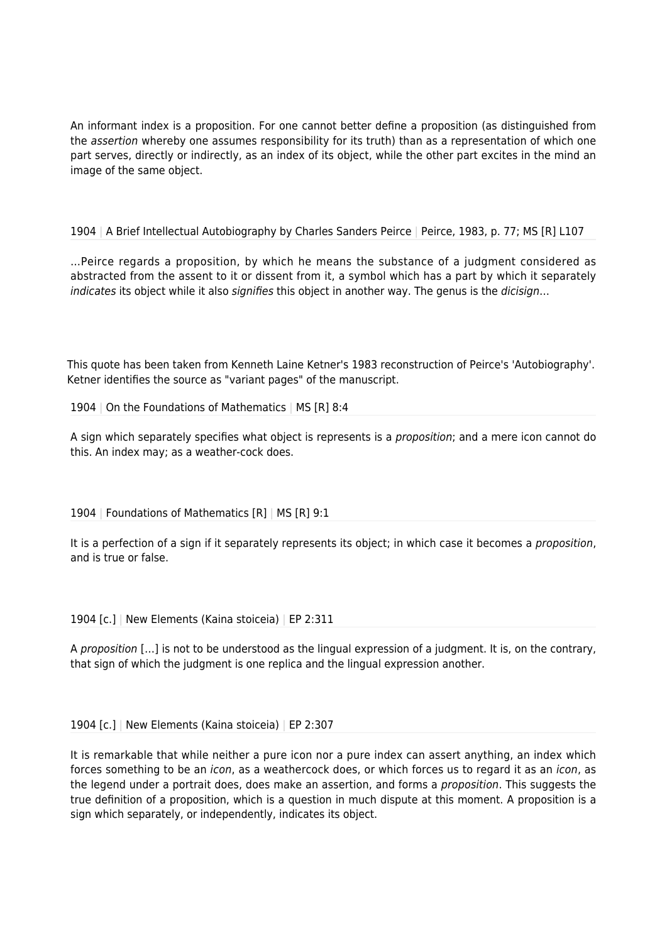An informant index is a proposition. For one cannot better define a proposition (as distinguished from the assertion whereby one assumes responsibility for its truth) than as a representation of which one part serves, directly or indirectly, as an index of its object, while the other part excites in the mind an image of the same object.

# 1904 | A Brief Intellectual Autobiography by Charles Sanders Peirce | Peirce, 1983, p. 77; MS [R] L107

…Peirce regards a proposition, by which he means the substance of a judgment considered as abstracted from the assent to it or dissent from it, a symbol which has a part by which it separately indicates its object while it also *signifies* this object in another way. The genus is the *dicisign*...

This quote has been taken from Kenneth Laine Ketner's 1983 reconstruction of Peirce's 'Autobiography'. Ketner identifies the source as "variant pages" of the manuscript.

# 1904 | On the Foundations of Mathematics | MS [R] 8:4

A sign which separately specifies what object is represents is a proposition; and a mere icon cannot do this. An index may; as a weather-cock does.

### 1904 | Foundations of Mathematics [R] | MS [R] 9:1

It is a perfection of a sign if it separately represents its object; in which case it becomes a *proposition*, and is true or false.

1904 [c.] | New Elements (Kaina stoiceia) | EP 2:311

A proposition […] is not to be understood as the lingual expression of a judgment. It is, on the contrary, that sign of which the judgment is one replica and the lingual expression another.

1904 [c.] | New Elements (Kaina stoiceia) | EP 2:307

It is remarkable that while neither a pure icon nor a pure index can assert anything, an index which forces something to be an *icon*, as a weathercock does, or which forces us to regard it as an *icon*, as the legend under a portrait does, does make an assertion, and forms a *proposition*. This suggests the true definition of a proposition, which is a question in much dispute at this moment. A proposition is a sign which separately, or independently, indicates its object.